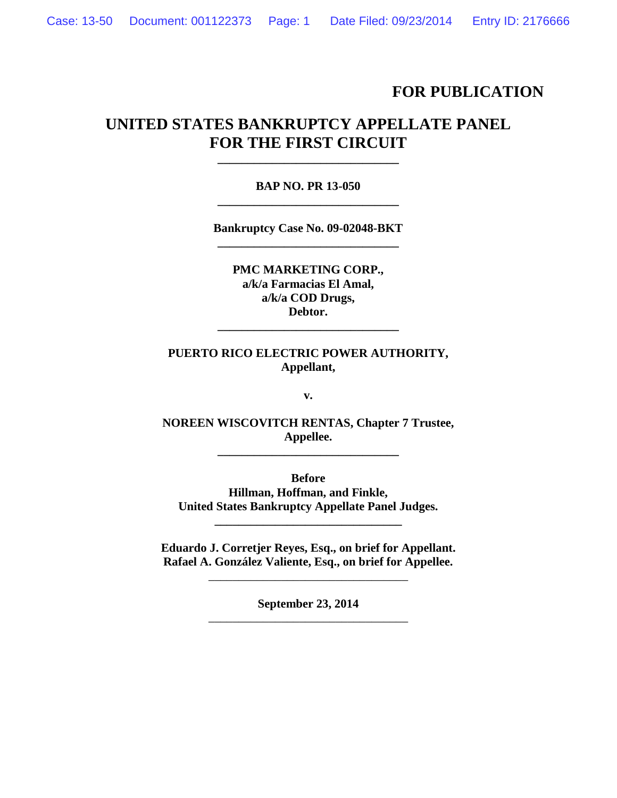## **FOR PUBLICATION**

# **UNITED STATES BANKRUPTCY APPELLATE PANEL FOR THE FIRST CIRCUIT**

## **BAP NO. PR 13-050 \_\_\_\_\_\_\_\_\_\_\_\_\_\_\_\_\_\_\_\_\_\_\_\_\_\_\_\_\_\_**

**\_\_\_\_\_\_\_\_\_\_\_\_\_\_\_\_\_\_\_\_\_\_\_\_\_\_\_\_\_\_**

**Bankruptcy Case No. 09-02048-BKT \_\_\_\_\_\_\_\_\_\_\_\_\_\_\_\_\_\_\_\_\_\_\_\_\_\_\_\_\_\_**

**PMC MARKETING CORP., a/k/a Farmacias El Amal, a/k/a COD Drugs, Debtor.**

**\_\_\_\_\_\_\_\_\_\_\_\_\_\_\_\_\_\_\_\_\_\_\_\_\_\_\_\_\_\_**

## **PUERTO RICO ELECTRIC POWER AUTHORITY, Appellant,**

**v.**

**NOREEN WISCOVITCH RENTAS, Chapter 7 Trustee, Appellee.**

**\_\_\_\_\_\_\_\_\_\_\_\_\_\_\_\_\_\_\_\_\_\_\_\_\_\_\_\_\_\_**

**Before Hillman, Hoffman, and Finkle, United States Bankruptcy Appellate Panel Judges.**

**Eduardo J. Corretjer Reyes, Esq., on brief for Appellant. Rafael A. González Valiente, Esq., on brief for Appellee.**

\_\_\_\_\_\_\_\_\_\_\_\_\_\_\_\_\_\_\_\_\_\_\_\_\_\_\_\_\_\_\_\_\_

**\_\_\_\_\_\_\_\_\_\_\_\_\_\_\_\_\_\_\_\_\_\_\_\_\_\_\_\_\_\_\_**

**September 23, 2014** \_\_\_\_\_\_\_\_\_\_\_\_\_\_\_\_\_\_\_\_\_\_\_\_\_\_\_\_\_\_\_\_\_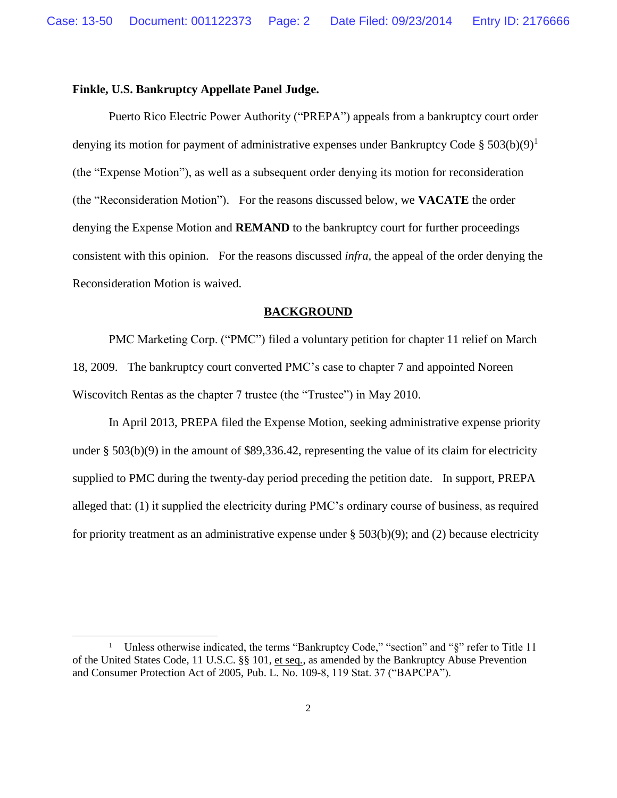## **Finkle, U.S. Bankruptcy Appellate Panel Judge.**

 $\overline{a}$ 

Puerto Rico Electric Power Authority ("PREPA") appeals from a bankruptcy court order denying its motion for payment of administrative expenses under Bankruptcy Code § 503(b)(9)<sup>1</sup> (the "Expense Motion"), as well as a subsequent order denying its motion for reconsideration (the "Reconsideration Motion"). For the reasons discussed below, we **VACATE** the order denying the Expense Motion and **REMAND** to the bankruptcy court for further proceedings consistent with this opinion. For the reasons discussed *infra,* the appeal of the order denying the Reconsideration Motion is waived.

#### **BACKGROUND**

PMC Marketing Corp. ("PMC") filed a voluntary petition for chapter 11 relief on March 18, 2009. The bankruptcy court converted PMC's case to chapter 7 and appointed Noreen Wiscovitch Rentas as the chapter 7 trustee (the "Trustee") in May 2010.

In April 2013, PREPA filed the Expense Motion, seeking administrative expense priority under § 503(b)(9) in the amount of \$89,336.42, representing the value of its claim for electricity supplied to PMC during the twenty-day period preceding the petition date. In support, PREPA alleged that: (1) it supplied the electricity during PMC's ordinary course of business, as required for priority treatment as an administrative expense under  $\S$  503(b)(9); and (2) because electricity

<sup>1</sup> Unless otherwise indicated, the terms "Bankruptcy Code," "section" and "§" refer to Title 11 of the United States Code, 11 U.S.C. §§ 101, et seq*.*, as amended by the Bankruptcy Abuse Prevention and Consumer Protection Act of 2005, Pub. L. No. 109-8, 119 Stat. 37 ("BAPCPA").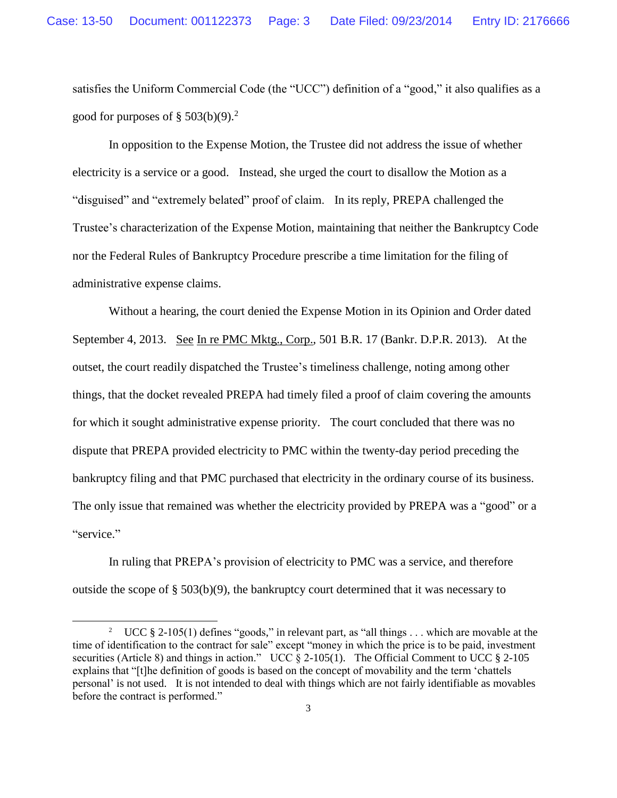satisfies the Uniform Commercial Code (the "UCC") definition of a "good," it also qualifies as a good for purposes of  $\S 503(b)(9)$ .<sup>2</sup>

In opposition to the Expense Motion, the Trustee did not address the issue of whether electricity is a service or a good. Instead, she urged the court to disallow the Motion as a "disguised" and "extremely belated" proof of claim. In its reply, PREPA challenged the Trustee's characterization of the Expense Motion, maintaining that neither the Bankruptcy Code nor the Federal Rules of Bankruptcy Procedure prescribe a time limitation for the filing of administrative expense claims.

Without a hearing, the court denied the Expense Motion in its Opinion and Order dated September 4, 2013. See In re PMC Mktg., Corp., 501 B.R. 17 (Bankr. D.P.R. 2013). At the outset, the court readily dispatched the Trustee's timeliness challenge, noting among other things, that the docket revealed PREPA had timely filed a proof of claim covering the amounts for which it sought administrative expense priority. The court concluded that there was no dispute that PREPA provided electricity to PMC within the twenty-day period preceding the bankruptcy filing and that PMC purchased that electricity in the ordinary course of its business. The only issue that remained was whether the electricity provided by PREPA was a "good" or a "service."

In ruling that PREPA's provision of electricity to PMC was a service, and therefore outside the scope of § 503(b)(9), the bankruptcy court determined that it was necessary to

 $\overline{a}$ 

<sup>&</sup>lt;sup>2</sup> UCC § 2-105(1) defines "goods," in relevant part, as "all things  $\dots$  which are movable at the time of identification to the contract for sale" except "money in which the price is to be paid, investment securities (Article 8) and things in action." UCC § 2-105(1). The Official Comment to UCC § 2-105 explains that "[t]he definition of goods is based on the concept of movability and the term 'chattels personal' is not used. It is not intended to deal with things which are not fairly identifiable as movables before the contract is performed."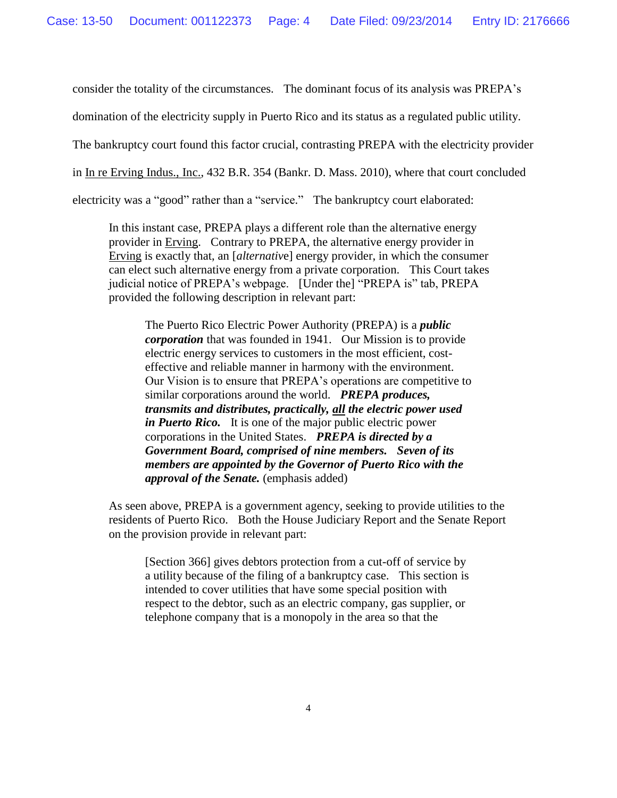consider the totality of the circumstances. The dominant focus of its analysis was PREPA's

domination of the electricity supply in Puerto Rico and its status as a regulated public utility.

The bankruptcy court found this factor crucial, contrasting PREPA with the electricity provider

in In re Erving Indus., Inc., 432 B.R. 354 (Bankr. D. Mass. 2010), where that court concluded

electricity was a "good" rather than a "service." The bankruptcy court elaborated:

In this instant case, PREPA plays a different role than the alternative energy provider in Erving. Contrary to PREPA, the alternative energy provider in Erving is exactly that, an [*alternativ*e] energy provider, in which the consumer can elect such alternative energy from a private corporation. This Court takes judicial notice of PREPA's webpage. [Under the] "PREPA is" tab, PREPA provided the following description in relevant part:

The Puerto Rico Electric Power Authority (PREPA) is a *public corporation* that was founded in 1941. Our Mission is to provide electric energy services to customers in the most efficient, costeffective and reliable manner in harmony with the environment. Our Vision is to ensure that PREPA's operations are competitive to similar corporations around the world. *PREPA produces, transmits and distributes, practically, all the electric power used in Puerto Rico.* It is one of the major public electric power corporations in the United States. *PREPA is directed by a Government Board, comprised of nine members. Seven of its members are appointed by the Governor of Puerto Rico with the approval of the Senate.* (emphasis added)

As seen above, PREPA is a government agency, seeking to provide utilities to the residents of Puerto Rico. Both the House Judiciary Report and the Senate Report on the provision provide in relevant part:

[Section 366] gives debtors protection from a cut-off of service by a utility because of the filing of a bankruptcy case. This section is intended to cover utilities that have some special position with respect to the debtor, such as an electric company, gas supplier, or telephone company that is a monopoly in the area so that the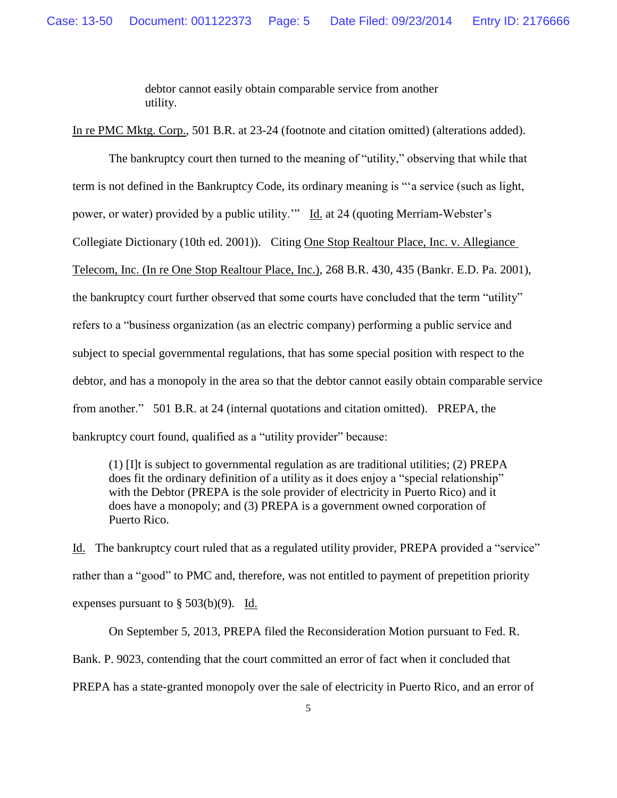debtor cannot easily obtain comparable service from another utility.

In re PMC Mktg. Corp., 501 B.R. at 23-24 (footnote and citation omitted) (alterations added).

The bankruptcy court then turned to the meaning of "utility," observing that while that term is not defined in the Bankruptcy Code, its ordinary meaning is "'a service (such as light, power, or water) provided by a public utility." Id. at 24 (quoting Merriam-Webster's Collegiate Dictionary (10th ed. 2001)). Citing One Stop Realtour Place, Inc. v. Allegiance Telecom, Inc. (In re One Stop Realtour Place, Inc.), 268 B.R. 430, 435 (Bankr. E.D. Pa. 2001), the bankruptcy court further observed that some courts have concluded that the term "utility" refers to a "business organization (as an electric company) performing a public service and subject to special governmental regulations, that has some special position with respect to the debtor, and has a monopoly in the area so that the debtor cannot easily obtain comparable service from another." 501 B.R. at 24 (internal quotations and citation omitted). PREPA, the bankruptcy court found, qualified as a "utility provider" because:

(1) [I]t is subject to governmental regulation as are traditional utilities; (2) PREPA does fit the ordinary definition of a utility as it does enjoy a "special relationship" with the Debtor (PREPA is the sole provider of electricity in Puerto Rico) and it does have a monopoly; and (3) PREPA is a government owned corporation of Puerto Rico.

Id. The bankruptcy court ruled that as a regulated utility provider, PREPA provided a "service" rather than a "good" to PMC and, therefore, was not entitled to payment of prepetition priority expenses pursuant to  $\S 503(b)(9)$ . Id.

On September 5, 2013, PREPA filed the Reconsideration Motion pursuant to Fed. R. Bank. P. 9023, contending that the court committed an error of fact when it concluded that PREPA has a state-granted monopoly over the sale of electricity in Puerto Rico, and an error of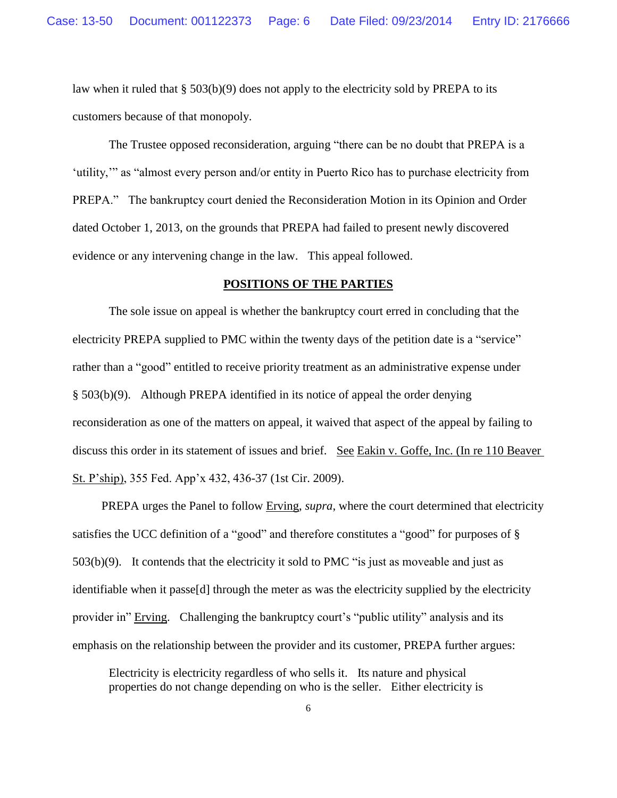law when it ruled that § 503(b)(9) does not apply to the electricity sold by PREPA to its customers because of that monopoly.

The Trustee opposed reconsideration, arguing "there can be no doubt that PREPA is a 'utility,'" as "almost every person and/or entity in Puerto Rico has to purchase electricity from PREPA." The bankruptcy court denied the Reconsideration Motion in its Opinion and Order dated October 1, 2013, on the grounds that PREPA had failed to present newly discovered evidence or any intervening change in the law. This appeal followed.

## **POSITIONS OF THE PARTIES**

The sole issue on appeal is whether the bankruptcy court erred in concluding that the electricity PREPA supplied to PMC within the twenty days of the petition date is a "service" rather than a "good" entitled to receive priority treatment as an administrative expense under § 503(b)(9). Although PREPA identified in its notice of appeal the order denying reconsideration as one of the matters on appeal, it waived that aspect of the appeal by failing to discuss this order in its statement of issues and brief. See Eakin v. Goffe, Inc. (In re 110 Beaver St. P'ship), 355 Fed. App'x 432, 436-37 (1st Cir. 2009).

 PREPA urges the Panel to follow Erving, *supra*, where the court determined that electricity satisfies the UCC definition of a "good" and therefore constitutes a "good" for purposes of § 503(b)(9). It contends that the electricity it sold to PMC "is just as moveable and just as identifiable when it passe[d] through the meter as was the electricity supplied by the electricity provider in" Erving. Challenging the bankruptcy court's "public utility" analysis and its emphasis on the relationship between the provider and its customer, PREPA further argues:

Electricity is electricity regardless of who sells it. Its nature and physical properties do not change depending on who is the seller. Either electricity is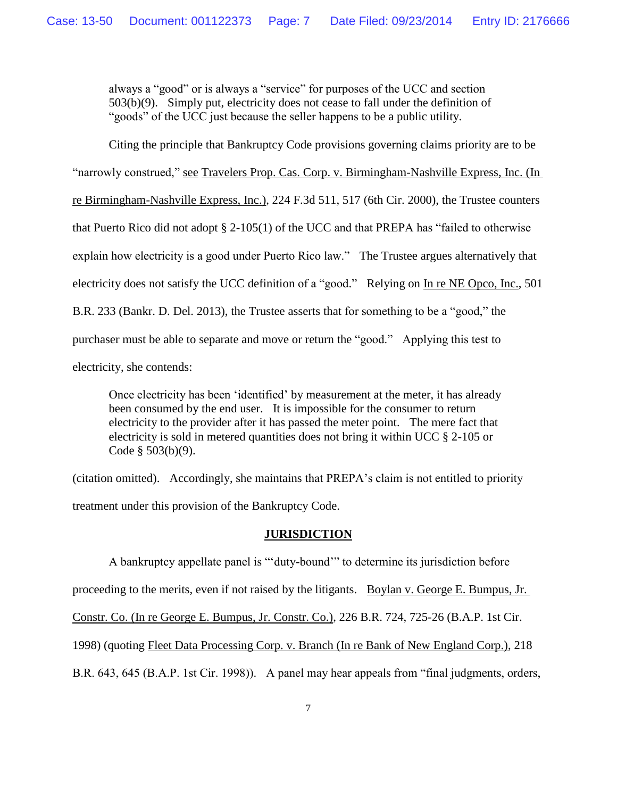always a "good" or is always a "service" for purposes of the UCC and section 503(b)(9). Simply put, electricity does not cease to fall under the definition of "goods" of the UCC just because the seller happens to be a public utility.

Citing the principle that Bankruptcy Code provisions governing claims priority are to be

"narrowly construed," see Travelers Prop. Cas. Corp. v. Birmingham-Nashville Express, Inc. (In re Birmingham-Nashville Express, Inc.), 224 F.3d 511, 517 (6th Cir. 2000), the Trustee counters that Puerto Rico did not adopt § 2-105(1) of the UCC and that PREPA has "failed to otherwise explain how electricity is a good under Puerto Rico law." The Trustee argues alternatively that electricity does not satisfy the UCC definition of a "good." Relying on In re NE Opco, Inc., 501 B.R. 233 (Bankr. D. Del. 2013), the Trustee asserts that for something to be a "good," the purchaser must be able to separate and move or return the "good." Applying this test to electricity, she contends:

Once electricity has been 'identified' by measurement at the meter, it has already been consumed by the end user. It is impossible for the consumer to return electricity to the provider after it has passed the meter point. The mere fact that electricity is sold in metered quantities does not bring it within UCC § 2-105 or Code § 503(b)(9).

(citation omitted). Accordingly, she maintains that PREPA's claim is not entitled to priority treatment under this provision of the Bankruptcy Code.

#### **JURISDICTION**

A bankruptcy appellate panel is "'duty-bound'" to determine its jurisdiction before proceeding to the merits, even if not raised by the litigants. Boylan v. George E. Bumpus, Jr. Constr. Co. (In re George E. Bumpus, Jr. Constr. Co.), 226 B.R. 724, 725-26 (B.A.P. 1st Cir. 1998) (quoting Fleet Data Processing Corp. v. Branch (In re Bank of New England Corp.), 218 B.R. 643, 645 (B.A.P. 1st Cir. 1998)). A panel may hear appeals from "final judgments, orders,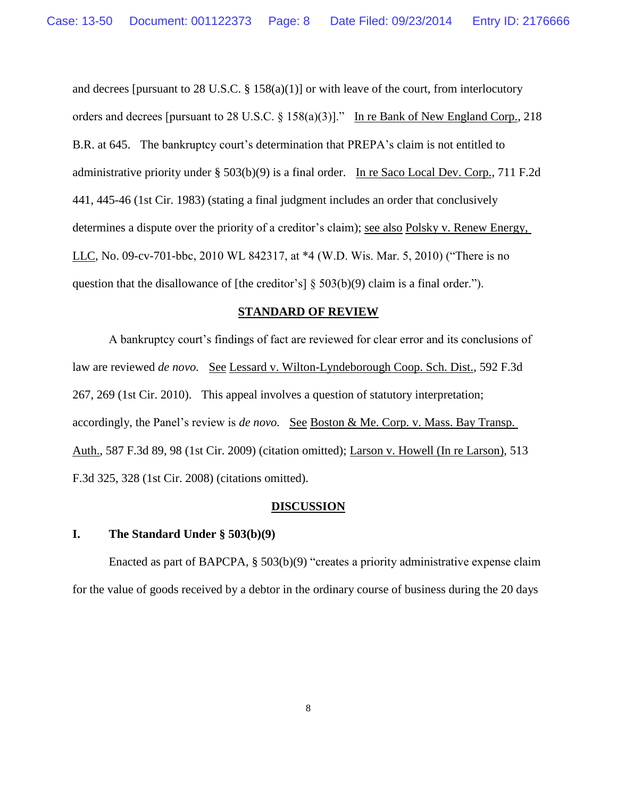and decrees [pursuant to 28 U.S.C. § 158(a)(1)] or with leave of the court, from interlocutory orders and decrees [pursuant to 28 U.S.C. § 158(a)(3)]." In re Bank of New England Corp., 218 B.R. at 645. The bankruptcy court's determination that PREPA's claim is not entitled to administrative priority under § 503(b)(9) is a final order. In re Saco Local Dev. Corp., 711 F.2d 441, 445-46 (1st Cir. 1983) (stating a final judgment includes an order that conclusively determines a dispute over the priority of a creditor's claim); see also Polsky v. Renew Energy, LLC, No. 09-cv-701-bbc, 2010 WL 842317, at \*4 (W.D. Wis. Mar. 5, 2010) ("There is no question that the disallowance of [the creditor's]  $\S$  503(b)(9) claim is a final order.").

#### **STANDARD OF REVIEW**

A bankruptcy court's findings of fact are reviewed for clear error and its conclusions of law are reviewed *de novo.* See Lessard v. Wilton-Lyndeborough Coop. Sch. Dist., 592 F.3d 267, 269 (1st Cir. 2010). This appeal involves a question of statutory interpretation; accordingly, the Panel's review is *de novo.* See Boston & Me. Corp. v. Mass. Bay Transp. Auth., 587 F.3d 89, 98 (1st Cir. 2009) (citation omitted); Larson v. Howell (In re Larson), 513 F.3d 325, 328 (1st Cir. 2008) (citations omitted).

#### **DISCUSSION**

## **I. The Standard Under § 503(b)(9)**

 Enacted as part of BAPCPA, § 503(b)(9) "creates a priority administrative expense claim for the value of goods received by a debtor in the ordinary course of business during the 20 days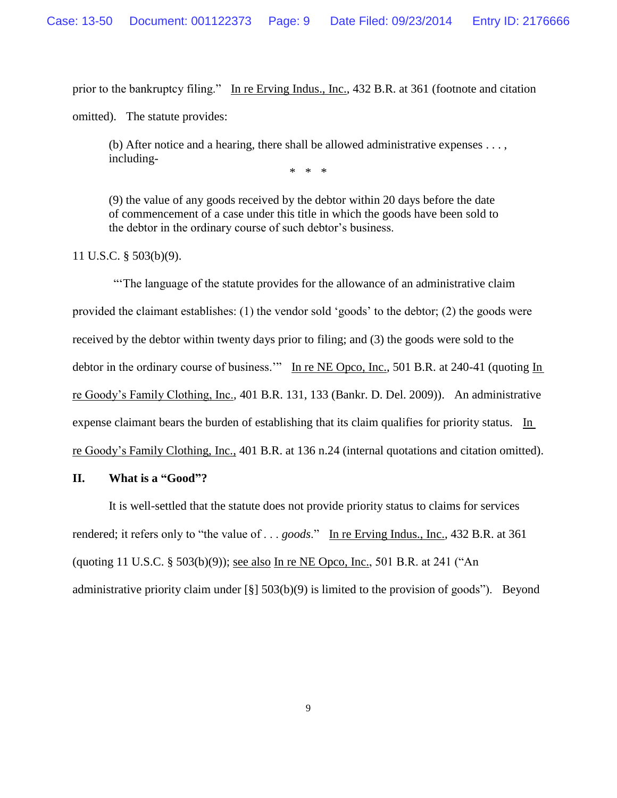prior to the bankruptcy filing." In re Erving Indus., Inc., 432 B.R. at 361 (footnote and citation

omitted). The statute provides:

(b) After notice and a hearing, there shall be allowed administrative expenses . . . , including-

\* \* \*

(9) the value of any goods received by the debtor within 20 days before the date of commencement of a case under this title in which the goods have been sold to the debtor in the ordinary course of such debtor's business.

11 U.S.C. § 503(b)(9).

"'The language of the statute provides for the allowance of an administrative claim provided the claimant establishes: (1) the vendor sold 'goods' to the debtor; (2) the goods were received by the debtor within twenty days prior to filing; and (3) the goods were sold to the debtor in the ordinary course of business." In re NE Opco, Inc., 501 B.R. at 240-41 (quoting In re Goody's Family Clothing, Inc., 401 B.R. 131, 133 (Bankr. D. Del. 2009)). An administrative expense claimant bears the burden of establishing that its claim qualifies for priority status. In re Goody's Family Clothing, Inc., 401 B.R. at 136 n.24 (internal quotations and citation omitted).

#### **II. What is a "Good"?**

It is well-settled that the statute does not provide priority status to claims for services rendered; it refers only to "the value of . . . *goods*." In re Erving Indus., Inc., 432 B.R. at 361 (quoting 11 U.S.C. § 503(b)(9)); see also In re NE Opco, Inc., 501 B.R. at 241 ("An administrative priority claim under [§] 503(b)(9) is limited to the provision of goods"). Beyond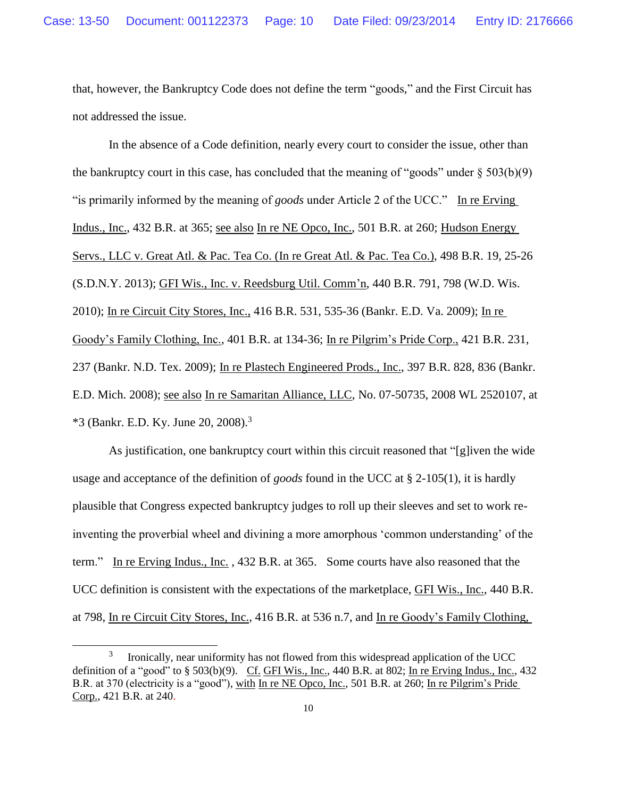that, however, the Bankruptcy Code does not define the term "goods," and the First Circuit has not addressed the issue.

In the absence of a Code definition, nearly every court to consider the issue, other than the bankruptcy court in this case, has concluded that the meaning of "goods" under  $\S 503(b)(9)$ "is primarily informed by the meaning of *goods* under Article 2 of the UCC." In re Erving Indus., Inc., 432 B.R. at 365; see also In re NE Opco, Inc., 501 B.R. at 260; Hudson Energy Servs., LLC v. Great Atl. & Pac. Tea Co. (In re Great Atl. & Pac. Tea Co.), 498 B.R. 19, 25-26 (S.D.N.Y. 2013); GFI Wis., Inc. v. Reedsburg Util. Comm'n, 440 B.R. 791, 798 (W.D. Wis. 2010); In re Circuit City Stores, Inc., 416 B.R. 531, 535-36 (Bankr. E.D. Va. 2009); In re Goody's Family Clothing, Inc., 401 B.R. at 134-36; In re Pilgrim's Pride Corp., 421 B.R. 231, 237 (Bankr. N.D. Tex. 2009); In re Plastech Engineered Prods., Inc., 397 B.R. 828, 836 (Bankr. E.D. Mich. 2008); see also In re Samaritan Alliance, LLC, No. 07-50735, 2008 WL 2520107, at \*3 (Bankr. E.D. Ky. June 20, 2008). 3

As justification, one bankruptcy court within this circuit reasoned that "[g]iven the wide usage and acceptance of the definition of *goods* found in the UCC at § 2-105(1), it is hardly plausible that Congress expected bankruptcy judges to roll up their sleeves and set to work reinventing the proverbial wheel and divining a more amorphous 'common understanding' of the term." In re Erving Indus., Inc. , 432 B.R. at 365. Some courts have also reasoned that the UCC definition is consistent with the expectations of the marketplace, GFI Wis., Inc., 440 B.R. at 798, In re Circuit City Stores, Inc., 416 B.R. at 536 n.7, and In re Goody's Family Clothing,

 $\overline{a}$ 

<sup>3</sup> Ironically, near uniformity has not flowed from this widespread application of the UCC definition of a "good" to  $\S$  503(b)(9). Cf. GFI Wis., Inc., 440 B.R. at 802; In re Erving Indus., Inc., 432 B.R. at 370 (electricity is a "good"), with In re NE Opco, Inc., 501 B.R. at 260; In re Pilgrim's Pride Corp., 421 B.R. at 240.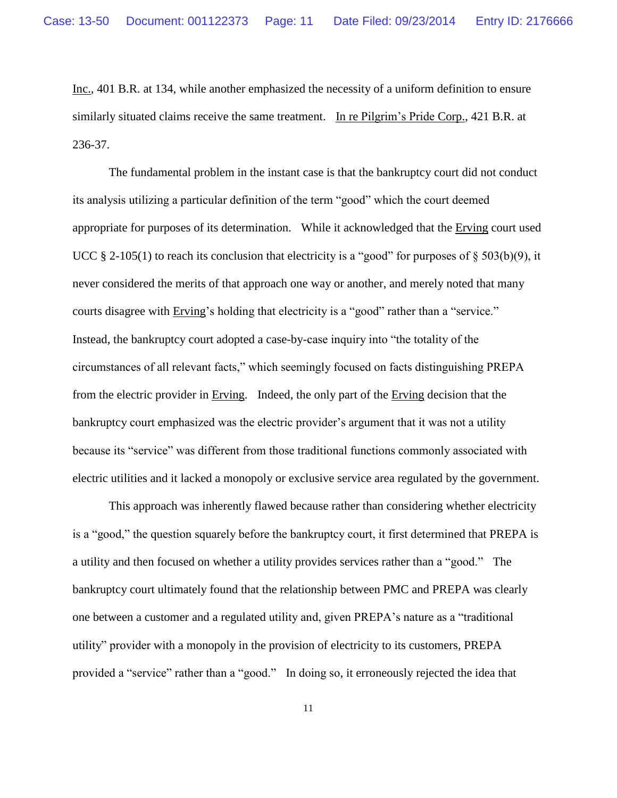Inc., 401 B.R. at 134, while another emphasized the necessity of a uniform definition to ensure similarly situated claims receive the same treatment. In re Pilgrim's Pride Corp., 421 B.R. at 236-37.

The fundamental problem in the instant case is that the bankruptcy court did not conduct its analysis utilizing a particular definition of the term "good" which the court deemed appropriate for purposes of its determination. While it acknowledged that the Erving court used UCC  $\S$  2-105(1) to reach its conclusion that electricity is a "good" for purposes of  $\S$  503(b)(9), it never considered the merits of that approach one way or another, and merely noted that many courts disagree with Erving's holding that electricity is a "good" rather than a "service." Instead, the bankruptcy court adopted a case-by-case inquiry into "the totality of the circumstances of all relevant facts," which seemingly focused on facts distinguishing PREPA from the electric provider in Erving. Indeed, the only part of the Erving decision that the bankruptcy court emphasized was the electric provider's argument that it was not a utility because its "service" was different from those traditional functions commonly associated with electric utilities and it lacked a monopoly or exclusive service area regulated by the government.

This approach was inherently flawed because rather than considering whether electricity is a "good," the question squarely before the bankruptcy court, it first determined that PREPA is a utility and then focused on whether a utility provides services rather than a "good." The bankruptcy court ultimately found that the relationship between PMC and PREPA was clearly one between a customer and a regulated utility and, given PREPA's nature as a "traditional utility" provider with a monopoly in the provision of electricity to its customers, PREPA provided a "service" rather than a "good." In doing so, it erroneously rejected the idea that

11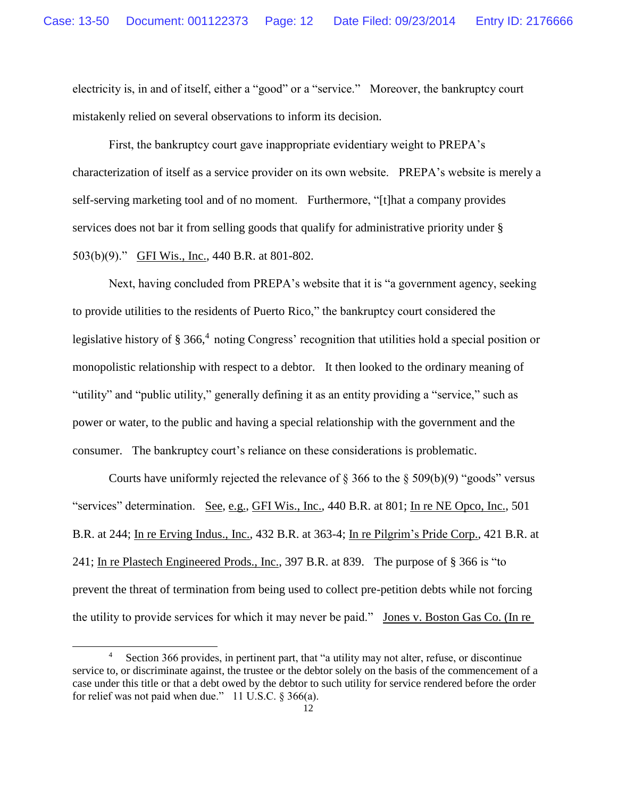electricity is, in and of itself, either a "good" or a "service." Moreover, the bankruptcy court mistakenly relied on several observations to inform its decision.

First, the bankruptcy court gave inappropriate evidentiary weight to PREPA's characterization of itself as a service provider on its own website. PREPA's website is merely a self-serving marketing tool and of no moment. Furthermore, "[t]hat a company provides services does not bar it from selling goods that qualify for administrative priority under § 503(b)(9)." GFI Wis., Inc., 440 B.R. at 801-802.

Next, having concluded from PREPA's website that it is "a government agency, seeking to provide utilities to the residents of Puerto Rico," the bankruptcy court considered the legislative history of § 366,<sup>4</sup> noting Congress' recognition that utilities hold a special position or monopolistic relationship with respect to a debtor. It then looked to the ordinary meaning of "utility" and "public utility," generally defining it as an entity providing a "service," such as power or water, to the public and having a special relationship with the government and the consumer. The bankruptcy court's reliance on these considerations is problematic.

Courts have uniformly rejected the relevance of  $\S$  366 to the  $\S$  509(b)(9) "goods" versus "services" determination. See, e.g., GFI Wis., Inc., 440 B.R. at 801; In re NE Opco, Inc., 501 B.R. at 244; In re Erving Indus., Inc., 432 B.R. at 363-4; In re Pilgrim's Pride Corp., 421 B.R. at 241; In re Plastech Engineered Prods., Inc., 397 B.R. at 839. The purpose of § 366 is "to prevent the threat of termination from being used to collect pre-petition debts while not forcing the utility to provide services for which it may never be paid." Jones v. Boston Gas Co. (In re

 $\overline{a}$ 

<sup>4</sup> Section 366 provides, in pertinent part, that "a utility may not alter, refuse, or discontinue service to, or discriminate against, the trustee or the debtor solely on the basis of the commencement of a case under this title or that a debt owed by the debtor to such utility for service rendered before the order for relief was not paid when due." 11 U.S.C. § 366(a).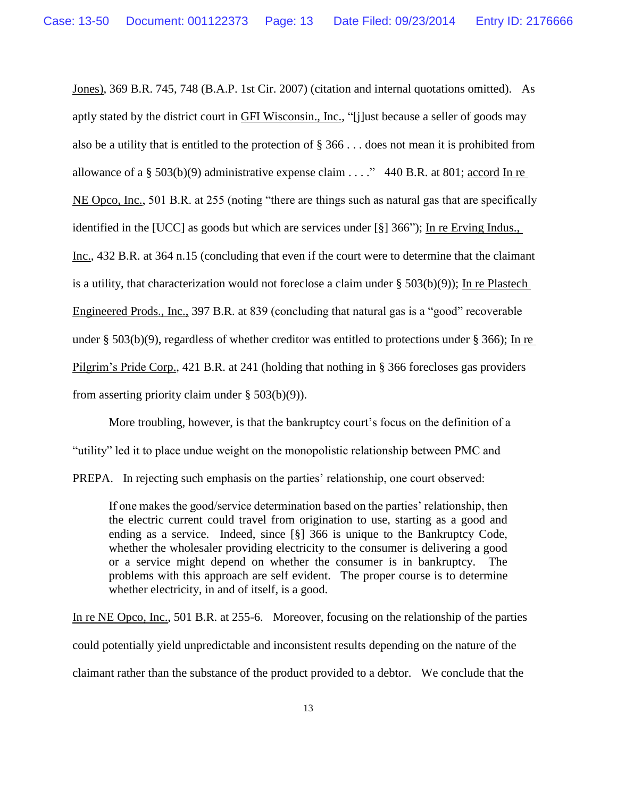Jones), 369 B.R. 745, 748 (B.A.P. 1st Cir. 2007) (citation and internal quotations omitted). As aptly stated by the district court in GFI Wisconsin., Inc., "[j]ust because a seller of goods may also be a utility that is entitled to the protection of § 366 . . . does not mean it is prohibited from allowance of a § 503(b)(9) administrative expense claim . . . ." 440 B.R. at 801; accord In re NE Opco, Inc., 501 B.R. at 255 (noting "there are things such as natural gas that are specifically identified in the [UCC] as goods but which are services under [§] 366"); In re Erving Indus., Inc., 432 B.R. at 364 n.15 (concluding that even if the court were to determine that the claimant is a utility, that characterization would not foreclose a claim under  $\S$  503(b)(9)); In re Plastech Engineered Prods., Inc., 397 B.R. at 839 (concluding that natural gas is a "good" recoverable under § 503(b)(9), regardless of whether creditor was entitled to protections under § 366); In re Pilgrim's Pride Corp., 421 B.R. at 241 (holding that nothing in § 366 forecloses gas providers from asserting priority claim under  $\S$  503(b)(9)).

More troubling, however, is that the bankruptcy court's focus on the definition of a "utility" led it to place undue weight on the monopolistic relationship between PMC and PREPA. In rejecting such emphasis on the parties' relationship, one court observed:

If one makes the good/service determination based on the parties' relationship, then the electric current could travel from origination to use, starting as a good and ending as a service. Indeed, since [§] 366 is unique to the Bankruptcy Code, whether the wholesaler providing electricity to the consumer is delivering a good or a service might depend on whether the consumer is in bankruptcy. The problems with this approach are self evident. The proper course is to determine whether electricity, in and of itself, is a good.

In re NE Opco, Inc., 501 B.R. at 255-6. Moreover, focusing on the relationship of the parties could potentially yield unpredictable and inconsistent results depending on the nature of the claimant rather than the substance of the product provided to a debtor. We conclude that the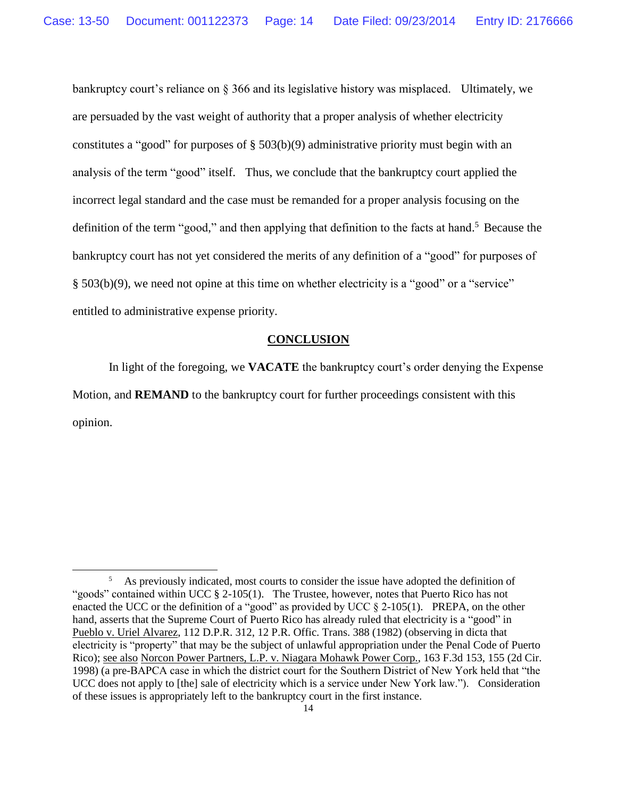bankruptcy court's reliance on § 366 and its legislative history was misplaced. Ultimately, we are persuaded by the vast weight of authority that a proper analysis of whether electricity constitutes a "good" for purposes of § 503(b)(9) administrative priority must begin with an analysis of the term "good" itself. Thus, we conclude that the bankruptcy court applied the incorrect legal standard and the case must be remanded for a proper analysis focusing on the definition of the term "good," and then applying that definition to the facts at hand.<sup>5</sup> Because the bankruptcy court has not yet considered the merits of any definition of a "good" for purposes of § 503(b)(9), we need not opine at this time on whether electricity is a "good" or a "service" entitled to administrative expense priority.

## **CONCLUSION**

In light of the foregoing, we **VACATE** the bankruptcy court's order denying the Expense Motion, and **REMAND** to the bankruptcy court for further proceedings consistent with this opinion.

l

<sup>5</sup> As previously indicated, most courts to consider the issue have adopted the definition of "goods" contained within UCC  $\S$  2-105(1). The Trustee, however, notes that Puerto Rico has not enacted the UCC or the definition of a "good" as provided by UCC § 2-105(1). PREPA, on the other hand, asserts that the Supreme Court of Puerto Rico has already ruled that electricity is a "good" in Pueblo v. Uriel Alvarez, 112 D.P.R. 312, 12 P.R. Offic. Trans. 388 (1982) (observing in dicta that electricity is "property" that may be the subject of unlawful appropriation under the Penal Code of Puerto Rico); see also Norcon Power Partners, L.P. v. Niagara Mohawk Power Corp., 163 F.3d 153, 155 (2d Cir. 1998) (a pre-BAPCA case in which the district court for the Southern District of New York held that "the UCC does not apply to [the] sale of electricity which is a service under New York law."). Consideration of these issues is appropriately left to the bankruptcy court in the first instance.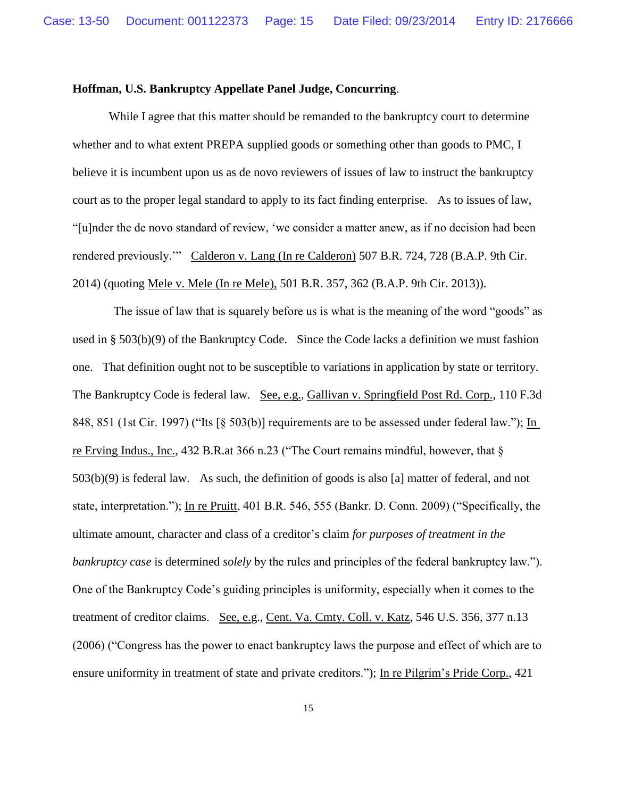## **Hoffman, U.S. Bankruptcy Appellate Panel Judge, Concurring**.

While I agree that this matter should be remanded to the bankruptcy court to determine whether and to what extent PREPA supplied goods or something other than goods to PMC, I believe it is incumbent upon us as de novo reviewers of issues of law to instruct the bankruptcy court as to the proper legal standard to apply to its fact finding enterprise. As to issues of law, "[u]nder the de novo standard of review, 'we consider a matter anew, as if no decision had been rendered previously.'" Calderon v. Lang (In re Calderon) 507 B.R. 724, 728 (B.A.P. 9th Cir. 2014) (quoting Mele v. Mele (In re Mele), 501 B.R. 357, 362 (B.A.P. 9th Cir. 2013)).

The issue of law that is squarely before us is what is the meaning of the word "goods" as used in § 503(b)(9) of the Bankruptcy Code. Since the Code lacks a definition we must fashion one. That definition ought not to be susceptible to variations in application by state or territory. The Bankruptcy Code is federal law. See, e.g., Gallivan v. Springfield Post Rd. Corp., 110 F.3d 848, 851 (1st Cir. 1997) ("Its [§ 503(b)] requirements are to be assessed under federal law."); In re Erving Indus., Inc., 432 B.R.at 366 n.23 ("The Court remains mindful, however, that § 503(b)(9) is federal law. As such, the definition of goods is also [a] matter of federal, and not state, interpretation."); In re Pruitt, 401 B.R. 546, 555 (Bankr. D. Conn. 2009) ("Specifically, the ultimate amount, character and class of a creditor's claim *for purposes of treatment in the bankruptcy case* is determined *solely* by the rules and principles of the federal bankruptcy law."). One of the Bankruptcy Code's guiding principles is uniformity, especially when it comes to the treatment of creditor claims. See, e.g., Cent. Va. Cmty. Coll. v. Katz, 546 U.S. 356, 377 n.13 (2006) ("Congress has the power to enact bankruptcy laws the purpose and effect of which are to ensure uniformity in treatment of state and private creditors."); In re Pilgrim's Pride Corp., 421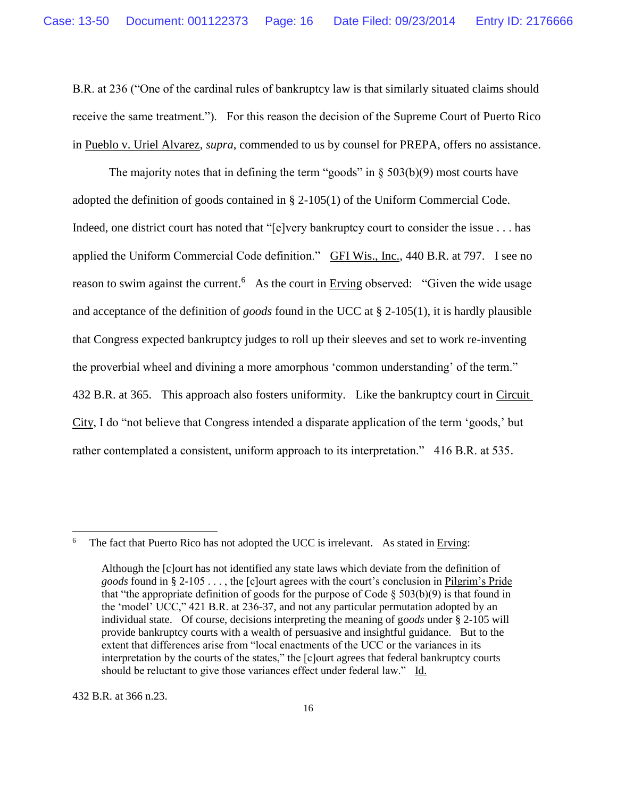B.R. at 236 ("One of the cardinal rules of bankruptcy law is that similarly situated claims should receive the same treatment."). For this reason the decision of the Supreme Court of Puerto Rico in Pueblo v. Uriel Alvarez, *supra*, commended to us by counsel for PREPA, offers no assistance.

The majority notes that in defining the term "goods" in  $\S$  503(b)(9) most courts have adopted the definition of goods contained in § 2-105(1) of the Uniform Commercial Code. Indeed, one district court has noted that "[e]very bankruptcy court to consider the issue . . . has applied the Uniform Commercial Code definition." GFI Wis., Inc., 440 B.R. at 797. I see no reason to swim against the current.<sup>6</sup> As the court in Erving observed: "Given the wide usage and acceptance of the definition of *goods* found in the UCC at § 2-105(1), it is hardly plausible that Congress expected bankruptcy judges to roll up their sleeves and set to work re-inventing the proverbial wheel and divining a more amorphous 'common understanding' of the term." 432 B.R. at 365. This approach also fosters uniformity. Like the bankruptcy court in Circuit City, I do "not believe that Congress intended a disparate application of the term 'goods,' but rather contemplated a consistent, uniform approach to its interpretation." 416 B.R. at 535.

432 B.R. at 366 n.23.

l

<sup>6</sup> The fact that Puerto Rico has not adopted the UCC is irrelevant. As stated in Erving:

Although the [c]ourt has not identified any state laws which deviate from the definition of *goods* found in § 2-105 . . . , the [c]ourt agrees with the court's conclusion in Pilgrim's Pride that "the appropriate definition of goods for the purpose of Code  $\S$  503(b)(9) is that found in the 'model' UCC," 421 B.R. at 236-37, and not any particular permutation adopted by an individual state. Of course, decisions interpreting the meaning of g*oods* under § 2-105 will provide bankruptcy courts with a wealth of persuasive and insightful guidance. But to the extent that differences arise from "local enactments of the UCC or the variances in its interpretation by the courts of the states," the [c]ourt agrees that federal bankruptcy courts should be reluctant to give those variances effect under federal law." Id.